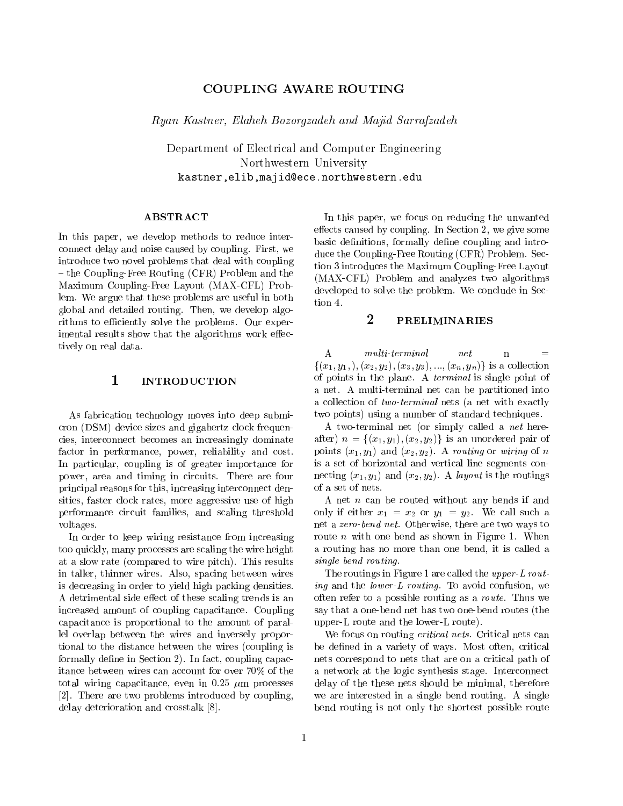## COUPLING AWARE ROUTING

Ryan Kastner, Elaheh Bozorgzadeh and Majid Sarrafzadeh

Department of Electrical and Computer Engineering northwestern University (1999) kastner,elib,majid@ece.northwestern.edu

### ABSTRACT

In this paper, we develop methods to reduce interconnect delay and noise caused by coupling. First, we introduce two novel problems that deal with coupling  $-$  the Coupling-Free Routing (CFR) Problem and the Maximum Coupling-Free Layout (MAX-CFL) Problem. We argue that these problems are useful in both global and detailed routing. Then, we develop algorithms to efficiently solve the problems. Our experimental results show that the algorithms work effectively on real data.

## <sup>1</sup> INTRODUCTION

As fabrication technology moves into deep submicron (DSM) device sizes and gigahertz clock frequencies, interconnect becomes an increasingly dominate factor in performance, power, reliability and cost. In particular, coupling is of greater importance for power, area and timing in circuits. There are four principal reasons for this, increasing interconnect densities, faster clock rates, more aggressive use of high performance circuit families, and scaling threshold voltages.

In order to keep wiring resistance from increasing too quickly, many processes are scaling the wire height at a slow rate (compared to wire pitch). This results in taller, thinner wires. Also, spacing between wires is decreasing in order to yield high packing densities. A detrimental side effect of these scaling trends is an increased amount of coupling capacitance. Coupling capacitance is proportional to the amount of parallel overlap between the wires and inversely proportional to the distance between the wires (coupling is formally define in Section 2). In fact, coupling capacitance between wires can account for over 70% of the total wiring capacitance, even in  $0.25 \ \mu m$  processes [2]. There are two problems introduced by coupling, delay deterioration and crosstalk [8].

In this paper, we focus on reducing the unwanted effects caused by coupling. In Section 2, we give some basic definitions, formally define coupling and introduce the Coupling-Free Routing (CFR) Problem. Section 3 introduces the Maximum Coupling-Free Layout (MAX-CFL) Problem and analyzes two algorithms developed to solve the problem. We conclude in Section 4.

#### $\bf{2}$ **PRELIMINARIES**

 $A$  multi-terminal net  $\mathbf n$  $=$  $\{(x_1,y_1), (x_2,y_2), (x_3,y_3), ..., (x_n,y_n)\}\)$  is a collection of points in the plane. A terminal is single point of a net. A multi-terminal net can be partitioned into a collection of two-terminal nets (a net with exactly two points) using a number of standard techniques.

A two-terminal net (or simply called a net hereafter)  $n = \{(x_1, y_1), (x_2, y_2)\}\$ is an unordered pair of points  $(x_1, y_1)$  and  $(x_2, y_2)$ . A routing or wiring of n is a set of horizontal and vertical line segments connecting  $(x_1, y_1)$  and  $(x_2, y_2)$ . A *layout* is the routings of a set of nets.

A net <sup>n</sup> can be routed without any bends if and only if either  $x_1 = x_2$  or  $y_1 = y_2$ . We call such a net a zero-bend net. Otherwise, there are two ways to route  $n$  with one bend as shown in Figure 1. When a routing has no more than one bend, it is called a single bend routing.

The routings in Figure 1 are called the upper-L routing and the *lower-L routing*. To avoid confusion, we often refer to a possible routing as a route. Thus we say that a one-bend net has two one-bend routes (the upper-L route and the lower-L route).

We focus on routing *critical nets*. Critical nets can be defined in a variety of ways. Most often, critical nets correspond to nets that are on a critical path of a network at the logic synthesis stage. Interconnect delay of the these nets should be minimal, therefore we are interested in a single bend routing. A single bend routing is not only the shortest possible route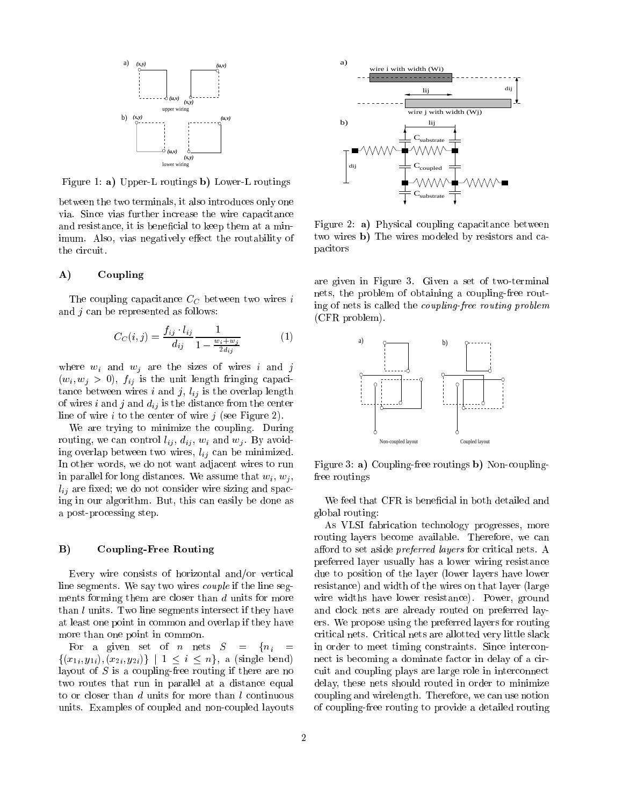

Figure 1: a) Upper-L routings b) Lower-L routings

between the two terminals, it also introduces only one via. Since vias further increase the wire capacitance and resistance, it is beneficial to keep them at a minimum. Also, vias negatively effect the routability of the circuit.

### A) Coupling

The coupling capacitance  $C_C$  between two wires i and  $j$  can be represented as follows:

$$
C_C(i,j) = \frac{f_{ij} \cdot l_{ij}}{d_{ij}} \frac{1}{1 - \frac{w_i + w_j}{2d_{ij}}} \tag{1}
$$

where  $w_i$  and  $w_j$  are the sizes of wires i and j  $(w_i, w_j > 0)$ ,  $f_{ij}$  is the unit length fringing capacitance between wires i and j,  $l_{ij}$  is the overlap length of wires i and j and  $d_{ij}$  is the distance from the center line of wire  $i$  to the center of wire  $j$  (see Figure 2).

We are trying to minimize the coupling. During routing, we can control  $l_{ij}$ ,  $d_{ij}$ ,  $w_i$  and  $w_j$ . By avoiding overlap between two wires,  $l_{ij}$  can be minimized. In other words, we do not want adjacent wires to run in parallel for long distances. We assume that  $w_i, w_j$ ,  $l_{ij}$  are fixed; we do not consider wire sizing and spacing in our algorithm. But, this can easily be done as a post-processing step.

### B) Coupling-Free Routing

Every wire consists of horizontal and/or vertical line segments. We say two wires couple if the line segments forming them are closer than  $d$  units for more than  $l$  units. Two line segments intersect if they have at least one point in common and overlap if they have more than one point in common.

For a given set of *n* nets  $S = \{n_i =$  $\{(x_{1i}, y_{1i}), (x_{2i}, y_{2i})\}$  |  $1 \leq i \leq n\}$ , a (single bend) layout of  $S$  is a coupling-free routing if there are no two routes that run in parallel at a distance equal to or closer than d units for more than l continuous units. Examples of coupled and non-coupled layouts



Figure 2: a) Physical coupling capacitance between two wires b) The wires modeled by resistors and capacitors

are given in Figure 3.Given a set of two-terminal nets, the problem of obtaining a coupling-free routing of nets is called the coupling-free routing problem (CFR problem).



Figure 3: a) Coupling-free routings b) Non-couplingfree routings

We feel that CFR is beneficial in both detailed and global routing:

As VLSI fabrication technology progresses, more routing layers become available. Therefore, we can afford to set aside *preferred layers* for critical nets. A preferred layer usually has a lower wiring resistance due to position of the layer (lower layers have lower resistance) and width of the wires on that layer (large wire widths have lower resistance). Power, ground and clock nets are already routed on preferred layers. We propose using the preferred layers for routing critical nets. Critical nets are allotted very little slack in order to meet timing constraints. Since interconnect is becoming a dominate factor in delay of a circuit and coupling plays are large role in interconnect delay, these nets should routed in order to minimize coupling and wirelength. Therefore, we can use notion of coupling-free routing to provide a detailed routing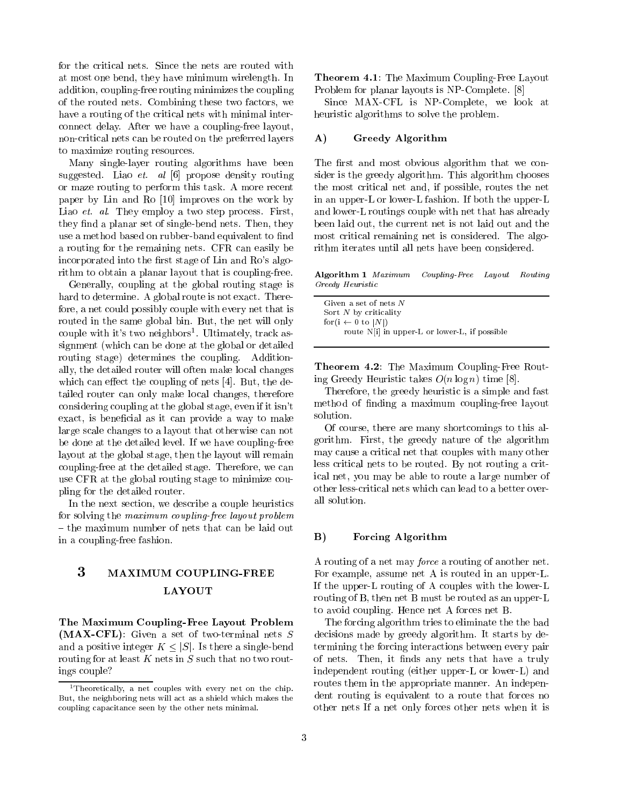for the critical nets. Since the nets are routed with at most one bend, they have minimum wirelength. In addition, coupling-free routing minimizes the coupling of the routed nets. Combining these two factors, we have a routing of the critical nets with minimal interconnect delay. After we have a coupling-free layout, non-critical nets can be routed on the preferred layers  $\mathbf{A}$ ) to maximize routing resources.

Many single-layer routing algorithms have been suggested. Liao  $et.$  al  $[6]$  propose density routing or maze routing to perform this task. A more recent paper by Lin and Ro [10] improves on the work by Liao et. al. They employ a two step process. First, they find a planar set of single-bend nets. Then, they use a method based on rubber-band equivalent to find a routing for the remaining nets. CFR can easily be incorporated into the first stage of Lin and Ro's algorithm to obtain a planar layout that is coupling-free. Algorithm 1  $Maximum$ 

Generally, coupling at the global routing stage is hard to determine. A global route is not exact. Therefore, a net could possibly couple with every net that is routed in the same global bin. But, the net will only couple with it's two neighbors<sup>1</sup>. Ultimately, track assignment (which can be done at the global or detailed routing stage) determines the coupling. Additionally, the detailed router will often make local changes which can effect the coupling of nets  $[4]$ . But, the detailed router can only make local changes, therefore considering coupling at the global stage, even if it isn't exact, is beneficial as it can provide a way to make large scale changes to a layout that otherwise can not be done at the detailed level. If we have coupling-free layout at the global stage, then the layout will remain coupling-free at the detailed stage. Therefore, we can use CFR at the global routing stage to minimize coupling for the detailed router.

In the next section, we describe a couple heuristics for solving the maximum coupling-free layout problem  $-$  the maximum number of nets that can be laid out in a coupling-free fashion in a coupling-free fashion.

### $\overline{3}$ **MAXIMUM COUPLING-FREE** 3 MAXIMUM COUPLING-FREE COUPLING-FREE COUPLING-FREE COUPLING-FREE COUPLING-FREE COUPLING-FREE COUPLING-FREE CO **LAYOUT**

The Maximum Coupling-Free Layout Problem  $(MAX-CFL)$ : Given a set of two-terminal nets S and a positive integer  $K \leq |S|$ . Is there a single-bend routing for at least  $K$  nets in  $S$  such that no two routings couple?

Theorem 4.1: The Maximum Coupling-Free Layout Problem for planar layouts is NP-Complete. [8]

Since MAX-CFL is NP-Complete, we look at heuristic algorithms to solve the problem.

### A) Greedy Algorithm

The first and most obvious algorithm that we consider is the greedy algorithm. This algorithm chooses the most critical net and, if possible, routes the net in an upper-L or lower-L fashion. If both the upper-L and lower-L routings couple with net that has already been laid out, the current net is not laid out and the most critical remaining net is considered. The algorithm iterates until all nets have been considered.

Coupling-Free Layout Routing Greedy Heuristic

| Given a set of nets N                         |
|-----------------------------------------------|
| Sort $N$ by criticality                       |
| for(i $\leftarrow$ 0 to  N )                  |
| route N[i] in upper-L or lower-L, if possible |

Theorem 4.2: The Maximum Coupling-Free Routing Greedy Heuristic takes  $O(n \log n)$  time [8].

Therefore, the greedy heuristic is a simple and fast method of finding a maximum coupling-free layout solution.

Of course, there are many shortcomings to this algorithm. First, the greedy nature of the algorithm may cause a critical net that couples with many other less critical nets to be routed. By not routing a critical net, you may be able to route a large number of other less-critical nets which can lead to a better overall solution.

## B) Forcing Algorithm

A routing of a net may force a routing of another net. For example, assume net A is routed in an upper-L. If the upper-L routing of A couples with the lower-L routing of B, then net B must be routed as an upper-L to avoid coupling. Hence net A forces net B.

The forcing algorithm tries to eliminate the the bad decisions made by greedy algorithm. It starts by determining the forcing interactions between every pair of nets. Then, it finds any nets that have a truly independent routing (either upper-L or lower-L) and routes them in the appropriate manner. An independent routing is equivalent to a route that forces no other nets If a net only forces other nets when it is

<sup>1</sup>Theoretically, <sup>a</sup> net couples with every net on the chip. But, the neighboring nets will act as a shield which makes thecoupling capacitance seen by the other nets minimal.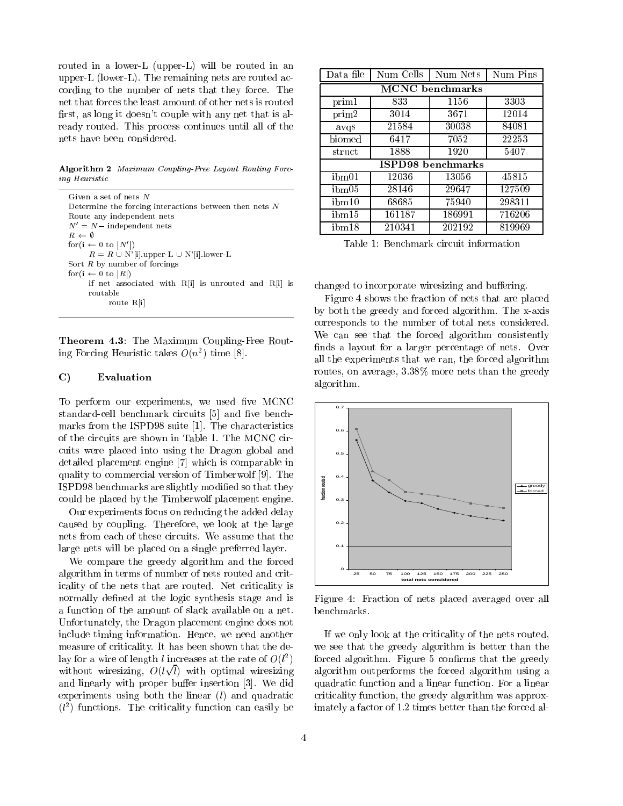routed in a lower-L (upper-L) will be routed in an upper-L (lower-L). The remaining nets are routed according to the number of nets that they force. The net that forces the least amount of other nets is routed first, as long it doesn't couple with any net that is already routed. This process continues until all of the nets have been considered.

Algorithm 2 Maximum Coupling-Free Layout Routing Forcing Heuristic

Given a set of nets  $N$ Determine the forcing interactions between then nets  $N$   $\qquad \qquad \Box$ Route any independent nets $N' = N -$  independent nets e e p for(i  $\leftarrow$  0 to  $|N'|$ )  $R = R \cup N'[i]$ .upper-L  $\cup N'[i]$ .lower-L Sort <sup>R</sup> by number of forcings for( $i \leftarrow 0$  to  $|R|$ ) if net associated with Right and Richard and Richard and Richard and Richard Richard Richard Richard Richard R routableroute R[i]

Theorem 4.3: The Maximum Coupling-Free Routing Forcing Heuristic takes  $O(n<sup>2</sup>)$  time  $|8|$ .

### C) Evaluation

To perform our experiments, we used five MCNC standard-cell benchmark circuits [5] and five benchmarks from the ISPD98 suite [1]. The characteristics of the circuits are shown in Table 1. The MCNC circuits were placed into using the Dragon global and detailed placement engine [7] which is comparable in quality to commercial version of Timberwolf [9]. The<br>ISPD98 benchmarks are slightly modified so that they<br>could be placed by the Timberwolf placement engine ISPD98 benchmarks are slightly modied so that they could be placed by the Timberwolf placement engine.

Our experiments focus on reducing the added delay caused by coupling. Therefore, we look at the large nets from each of these circuits. We assume that the large nets will be placed on a single preferred layer.

We compare the greedy algorithm and the forced algorithm in terms of number of nets routed and criticality of the nets that are routed. Net criticality is normally defined at the logic synthesis stage and is a function of the amount of slack available on a net. Unfortunately, the Dragon placement engine does not include timing information. Hence, we need another measure of criticality. It has been shown that the delay for a wire of length l increases at the rate of  $O(l^2)$ without wiresizing,  $O(l\sqrt{l})$  with optimal wiresizing algo and linearly with proper buffer insertion [3]. We did experiments using both the linear  $(l)$  and quadratic  $(t<sup>2</sup>)$  functions. The criticality function can easily be  $\qquad$  im-

| Data file              | Num Cells | Num Nets | Num Pins |  |
|------------------------|-----------|----------|----------|--|
| <b>MCNC</b> benchmarks |           |          |          |  |
| prim1                  | 833       | 1156     | 3303     |  |
| prim2                  | 3014      | 3671     | 12014    |  |
| avqs                   | 21584     | 30038    | 84081    |  |
| biomed                 | 6417      | 7052     | 22253    |  |
| struct                 | 1888      | 1920     | 5407     |  |
| ISPD98 benchmarks      |           |          |          |  |
| ibm01                  | 12036     | 13056    | 45815    |  |
| ibm05                  | 28146     | 29647    | 127509   |  |
| ibm10                  | 68685     | 75940    | 298311   |  |
| ibm15                  | 161187    | 186991   | 716206   |  |
| ibm18                  | 210341    | 202192   | 819969   |  |

Table 1: Benchmark circuit information

changed to incorporate wiresizing and buffering.

Figure 4 shows the fraction of nets that are placed by both the greedy and forced algorithm. The x-axis corresponds to the number of total nets considered. We can see that the forced algorithm consistently finds a layout for a larger percentage of nets. Over all the experiments that we ran, the forced algorithm routes, on average, 3.38% more nets than the greedy algorithm.



Figure 4: Fraction of nets placed averaged over all benchmarks.

 $f$  for the algorithm. Figure 5 contribute that the green  $f$ If we only look at the criticality of the nets routed, we see that the greedy algorithm is better than the algorithm outperforms the forced algorithm using a quadratic function and a linear function. For a linear criticality function, the greedy algorithm was approximately a factor of 1.2 times better than the forced al